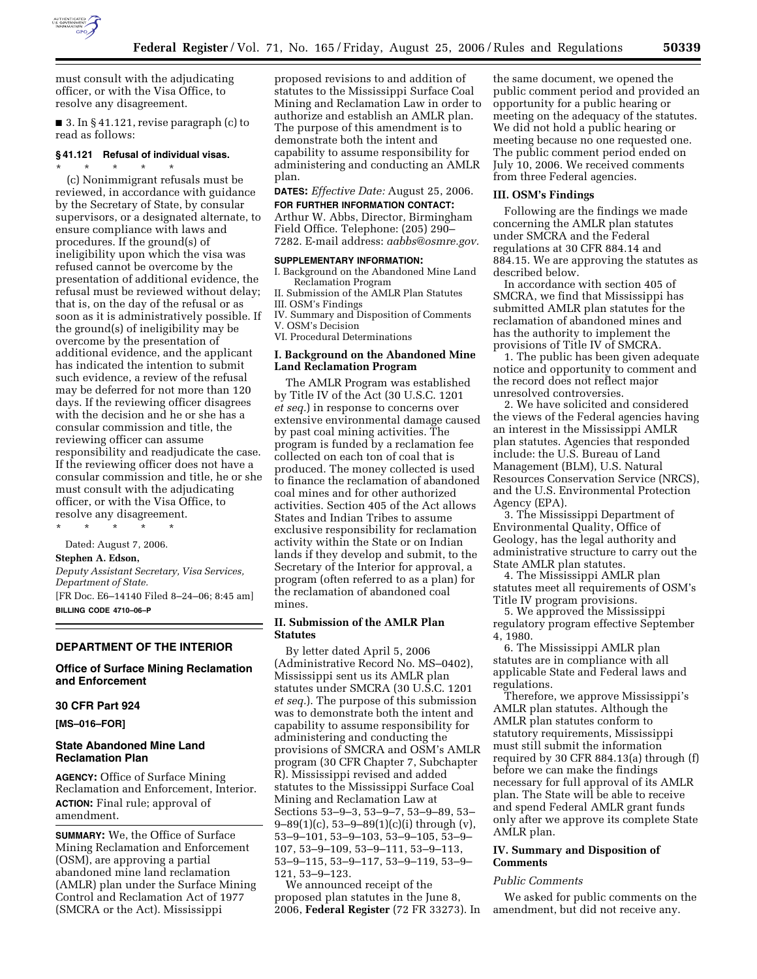

must consult with the adjudicating officer, or with the Visa Office, to resolve any disagreement.

■ 3. In § 41.121, revise paragraph (c) to read as follows:

# **§ 41.121 Refusal of individual visas.**

\* \* \* \* \* (c) Nonimmigrant refusals must be reviewed, in accordance with guidance by the Secretary of State, by consular supervisors, or a designated alternate, to ensure compliance with laws and procedures. If the ground(s) of ineligibility upon which the visa was refused cannot be overcome by the presentation of additional evidence, the refusal must be reviewed without delay; that is, on the day of the refusal or as soon as it is administratively possible. If the ground(s) of ineligibility may be overcome by the presentation of additional evidence, and the applicant has indicated the intention to submit such evidence, a review of the refusal may be deferred for not more than 120 days. If the reviewing officer disagrees with the decision and he or she has a consular commission and title, the reviewing officer can assume responsibility and readjudicate the case. If the reviewing officer does not have a consular commission and title, he or she must consult with the adjudicating officer, or with the Visa Office, to resolve any disagreement.

\* \* \* \* \*

Dated: August 7, 2006.

## **Stephen A. Edson,**

*Deputy Assistant Secretary, Visa Services, Department of State.*  [FR Doc. E6–14140 Filed 8–24–06; 8:45 am] **BILLING CODE 4710–06–P** 

#### **DEPARTMENT OF THE INTERIOR**

## **Office of Surface Mining Reclamation and Enforcement**

## **30 CFR Part 924**

**[MS–016–FOR]** 

## **State Abandoned Mine Land Reclamation Plan**

**AGENCY:** Office of Surface Mining Reclamation and Enforcement, Interior. **ACTION:** Final rule; approval of amendment.

**SUMMARY:** We, the Office of Surface Mining Reclamation and Enforcement (OSM), are approving a partial abandoned mine land reclamation (AMLR) plan under the Surface Mining Control and Reclamation Act of 1977 (SMCRA or the Act). Mississippi

proposed revisions to and addition of statutes to the Mississippi Surface Coal Mining and Reclamation Law in order to authorize and establish an AMLR plan. The purpose of this amendment is to demonstrate both the intent and capability to assume responsibility for administering and conducting an AMLR plan.

**DATES:** *Effective Date:* August 25, 2006. **FOR FURTHER INFORMATION CONTACT:** 

Arthur W. Abbs, Director, Birmingham Field Office. Telephone: (205) 290– 7282. E-mail address: *aabbs@osmre.gov.* 

#### **SUPPLEMENTARY INFORMATION:**

I. Background on the Abandoned Mine Land Reclamation Program

II. Submission of the AMLR Plan Statutes III. OSM's Findings

IV. Summary and Disposition of Comments V. OSM's Decision

VI. Procedural Determinations

## **I. Background on the Abandoned Mine Land Reclamation Program**

The AMLR Program was established by Title IV of the Act (30 U.S.C. 1201 *et seq.*) in response to concerns over extensive environmental damage caused by past coal mining activities. The program is funded by a reclamation fee collected on each ton of coal that is produced. The money collected is used to finance the reclamation of abandoned coal mines and for other authorized activities. Section 405 of the Act allows States and Indian Tribes to assume exclusive responsibility for reclamation activity within the State or on Indian lands if they develop and submit, to the Secretary of the Interior for approval, a program (often referred to as a plan) for the reclamation of abandoned coal mines.

## **II. Submission of the AMLR Plan Statutes**

By letter dated April 5, 2006 (Administrative Record No. MS–0402), Mississippi sent us its AMLR plan statutes under SMCRA (30 U.S.C. 1201 *et seq.*). The purpose of this submission was to demonstrate both the intent and capability to assume responsibility for administering and conducting the provisions of SMCRA and OSM's AMLR program (30 CFR Chapter 7, Subchapter R). Mississippi revised and added statutes to the Mississippi Surface Coal Mining and Reclamation Law at Sections 53–9–3, 53–9–7, 53–9–89, 53–  $9-89(1)(c)$ , 53-9-89(1)(c)(i) through (v), 53–9–101, 53–9–103, 53–9–105, 53–9– 107, 53–9–109, 53–9–111, 53–9–113, 53–9–115, 53–9–117, 53–9–119, 53–9– 121, 53–9–123.

We announced receipt of the proposed plan statutes in the June 8, 2006, **Federal Register** (72 FR 33273). In

the same document, we opened the public comment period and provided an opportunity for a public hearing or meeting on the adequacy of the statutes. We did not hold a public hearing or meeting because no one requested one. The public comment period ended on July 10, 2006. We received comments from three Federal agencies.

#### **III. OSM's Findings**

Following are the findings we made concerning the AMLR plan statutes under SMCRA and the Federal regulations at 30 CFR 884.14 and 884.15. We are approving the statutes as described below.

In accordance with section 405 of SMCRA, we find that Mississippi has submitted AMLR plan statutes for the reclamation of abandoned mines and has the authority to implement the provisions of Title IV of SMCRA.

1. The public has been given adequate notice and opportunity to comment and the record does not reflect major unresolved controversies.

2. We have solicited and considered the views of the Federal agencies having an interest in the Mississippi AMLR plan statutes. Agencies that responded include: the U.S. Bureau of Land Management (BLM), U.S. Natural Resources Conservation Service (NRCS), and the U.S. Environmental Protection Agency (EPA).

3. The Mississippi Department of Environmental Quality, Office of Geology, has the legal authority and administrative structure to carry out the State AMLR plan statutes.

4. The Mississippi AMLR plan statutes meet all requirements of OSM's Title IV program provisions.

5. We approved the Mississippi regulatory program effective September 4, 1980.

6. The Mississippi AMLR plan statutes are in compliance with all applicable State and Federal laws and regulations.

Therefore, we approve Mississippi's AMLR plan statutes. Although the AMLR plan statutes conform to statutory requirements, Mississippi must still submit the information required by 30 CFR 884.13(a) through (f) before we can make the findings necessary for full approval of its AMLR plan. The State will be able to receive and spend Federal AMLR grant funds only after we approve its complete State AMLR plan.

## **IV. Summary and Disposition of Comments**

#### *Public Comments*

We asked for public comments on the amendment, but did not receive any.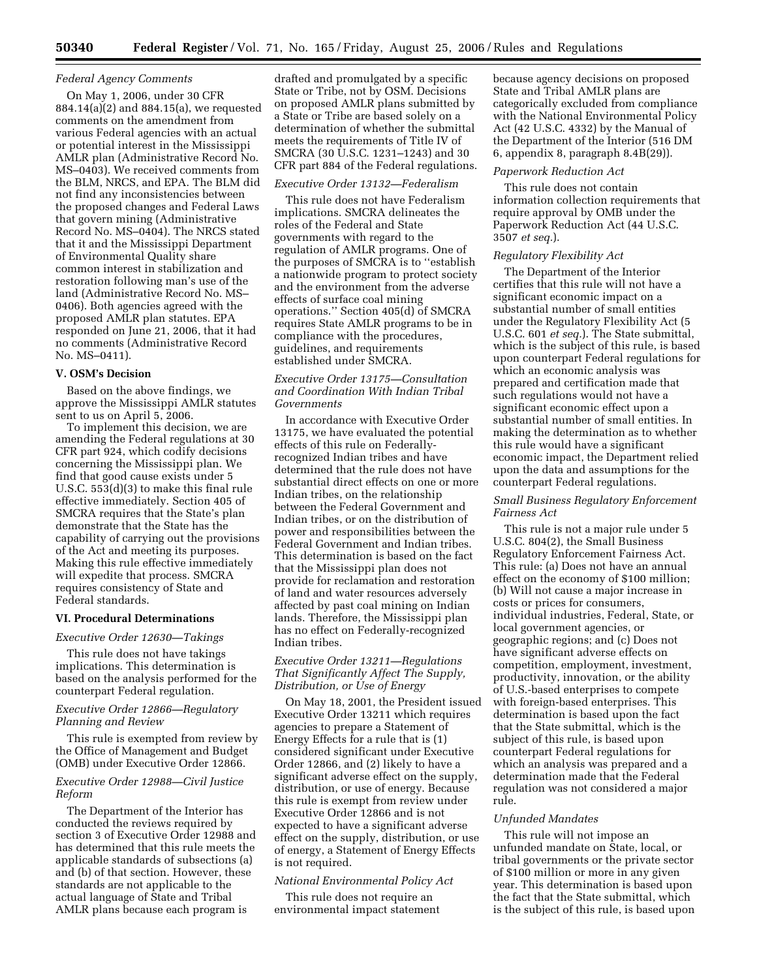## *Federal Agency Comments*

On May 1, 2006, under 30 CFR 884.14(a)(2) and 884.15(a), we requested comments on the amendment from various Federal agencies with an actual or potential interest in the Mississippi AMLR plan (Administrative Record No. MS–0403). We received comments from the BLM, NRCS, and EPA. The BLM did not find any inconsistencies between the proposed changes and Federal Laws that govern mining (Administrative Record No. MS–0404). The NRCS stated that it and the Mississippi Department of Environmental Quality share common interest in stabilization and restoration following man's use of the land (Administrative Record No. MS– 0406). Both agencies agreed with the proposed AMLR plan statutes. EPA responded on June 21, 2006, that it had no comments (Administrative Record No. MS–0411).

#### **V. OSM's Decision**

Based on the above findings, we approve the Mississippi AMLR statutes sent to us on April 5, 2006.

To implement this decision, we are amending the Federal regulations at 30 CFR part 924, which codify decisions concerning the Mississippi plan. We find that good cause exists under 5 U.S.C. 553(d)(3) to make this final rule effective immediately. Section 405 of SMCRA requires that the State's plan demonstrate that the State has the capability of carrying out the provisions of the Act and meeting its purposes. Making this rule effective immediately will expedite that process. SMCRA requires consistency of State and Federal standards.

#### **VI. Procedural Determinations**

## *Executive Order 12630—Takings*

This rule does not have takings implications. This determination is based on the analysis performed for the counterpart Federal regulation.

## *Executive Order 12866—Regulatory Planning and Review*

This rule is exempted from review by the Office of Management and Budget (OMB) under Executive Order 12866.

## *Executive Order 12988—Civil Justice Reform*

The Department of the Interior has conducted the reviews required by section 3 of Executive Order 12988 and has determined that this rule meets the applicable standards of subsections (a) and (b) of that section. However, these standards are not applicable to the actual language of State and Tribal AMLR plans because each program is

drafted and promulgated by a specific State or Tribe, not by OSM. Decisions on proposed AMLR plans submitted by a State or Tribe are based solely on a determination of whether the submittal meets the requirements of Title IV of SMCRA (30 U.S.C. 1231–1243) and 30 CFR part 884 of the Federal regulations.

#### *Executive Order 13132—Federalism*

This rule does not have Federalism implications. SMCRA delineates the roles of the Federal and State governments with regard to the regulation of AMLR programs. One of the purposes of SMCRA is to ''establish a nationwide program to protect society and the environment from the adverse effects of surface coal mining operations.'' Section 405(d) of SMCRA requires State AMLR programs to be in compliance with the procedures, guidelines, and requirements established under SMCRA.

## *Executive Order 13175—Consultation and Coordination With Indian Tribal Governments*

In accordance with Executive Order 13175, we have evaluated the potential effects of this rule on Federallyrecognized Indian tribes and have determined that the rule does not have substantial direct effects on one or more Indian tribes, on the relationship between the Federal Government and Indian tribes, or on the distribution of power and responsibilities between the Federal Government and Indian tribes. This determination is based on the fact that the Mississippi plan does not provide for reclamation and restoration of land and water resources adversely affected by past coal mining on Indian lands. Therefore, the Mississippi plan has no effect on Federally-recognized Indian tribes.

## *Executive Order 13211—Regulations That Significantly Affect The Supply, Distribution, or Use of Energy*

On May 18, 2001, the President issued Executive Order 13211 which requires agencies to prepare a Statement of Energy Effects for a rule that is (1) considered significant under Executive Order 12866, and (2) likely to have a significant adverse effect on the supply, distribution, or use of energy. Because this rule is exempt from review under Executive Order 12866 and is not expected to have a significant adverse effect on the supply, distribution, or use of energy, a Statement of Energy Effects is not required.

## *National Environmental Policy Act*

This rule does not require an environmental impact statement because agency decisions on proposed State and Tribal AMLR plans are categorically excluded from compliance with the National Environmental Policy Act (42 U.S.C. 4332) by the Manual of the Department of the Interior (516 DM 6, appendix 8, paragraph 8.4B(29)).

#### *Paperwork Reduction Act*

This rule does not contain information collection requirements that require approval by OMB under the Paperwork Reduction Act (44 U.S.C. 3507 *et seq.*).

## *Regulatory Flexibility Act*

The Department of the Interior certifies that this rule will not have a significant economic impact on a substantial number of small entities under the Regulatory Flexibility Act (5 U.S.C. 601 *et seq.*). The State submittal, which is the subject of this rule, is based upon counterpart Federal regulations for which an economic analysis was prepared and certification made that such regulations would not have a significant economic effect upon a substantial number of small entities. In making the determination as to whether this rule would have a significant economic impact, the Department relied upon the data and assumptions for the counterpart Federal regulations.

## *Small Business Regulatory Enforcement Fairness Act*

This rule is not a major rule under 5 U.S.C. 804(2), the Small Business Regulatory Enforcement Fairness Act. This rule: (a) Does not have an annual effect on the economy of \$100 million; (b) Will not cause a major increase in costs or prices for consumers, individual industries, Federal, State, or local government agencies, or geographic regions; and (c) Does not have significant adverse effects on competition, employment, investment, productivity, innovation, or the ability of U.S.-based enterprises to compete with foreign-based enterprises. This determination is based upon the fact that the State submittal, which is the subject of this rule, is based upon counterpart Federal regulations for which an analysis was prepared and a determination made that the Federal regulation was not considered a major rule.

## *Unfunded Mandates*

This rule will not impose an unfunded mandate on State, local, or tribal governments or the private sector of \$100 million or more in any given year. This determination is based upon the fact that the State submittal, which is the subject of this rule, is based upon